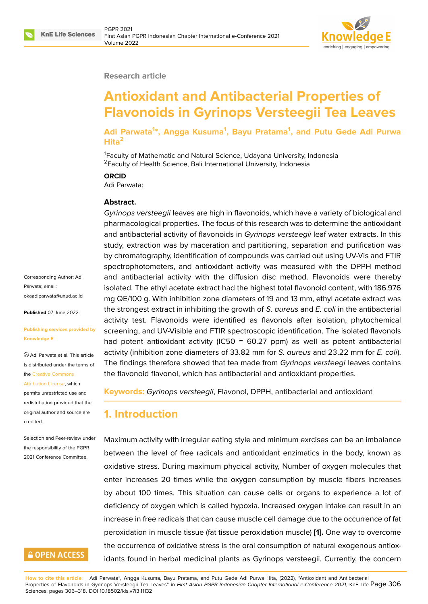#### **Research article**

# **Antioxidant and Antibacterial Properties of Flavonoids in Gyrinops Versteegii Tea Leaves**

**Adi Parwata<sup>1</sup> \*, Angga Kusuma<sup>1</sup> , Bayu Pratama<sup>1</sup> , and Putu Gede Adi Purwa Hita<sup>2</sup>**

<sup>1</sup> Faculty of Mathematic and Natural Science, Udayana University, Indonesia <sup>2</sup> Faculty of Health Science, Bali International University, Indonesia

#### **ORCID**

Adi Parwata:

#### **Abstract.**

*Gyrinops versteegii* leaves are high in flavonoids, which have a variety of biological and pharmacological properties. The focus of this research was to determine the antioxidant and antibacterial activity of flavonoids in *Gyrinops versteegii* leaf water extracts. In this study, extraction was by maceration and partitioning, separation and purification was by chromatography, identification of compounds was carried out using UV-Vis and FTIR spectrophotometers, and antioxidant activity was measured with the DPPH method and antibacterial activity with the diffusion disc method. Flavonoids were thereby isolated. The ethyl acetate extract had the highest total flavonoid content, with 186.976 mg QE/100 g. With inhibition zone diameters of 19 and 13 mm, ethyl acetate extract was the strongest extract in inhibiting the growth of *S. aureus* and *E. coli* in the antibacterial activity test. Flavonoids were identified as flavonols after isolation, phytochemical screening, and UV-Visible and FTIR spectroscopic identification. The isolated flavonols had potent antioxidant activity (IC50 = 60.27 ppm) as well as potent antibacterial activity (inhibition zone diameters of 33.82 mm for *S. aureus* and 23.22 mm for *E. coli*). The findings therefore showed that tea made from *Gyrinops versteegi* leaves contains the flavonoid flavonol, which has antibacterial and antioxidant properties.

**Keywords:** *Gyrinops versteegii*, Flavonol, DPPH, antibacterial and antioxidant

# **1. Introduction**

Maximum activity with irregular eating style and minimum exrcises can be an imbalance between the level of free radicals and antioxidant enzimatics in the body, known as oxidative stress. During maximum phycical activity, Number of oxygen molecules that enter increases 20 times while the oxygen consumption by muscle fibers increases by about 100 times. This situation can cause cells or organs to experience a lot of deficiency of oxygen which is called hypoxia. Increased oxygen intake can result in an increase in free radicals that can cause muscle cell damage due to the occurrence of fat peroxidation in muscle tissue (fat tissue peroxidation muscle) **[1].** One way to overcome the occurrence of oxidative stress is the oral consumption of natural exogenous antioxidants found in herbal medicinal plants as Gyrinops versteegii. Currently, the concern

**How to cite this article**: Adi Parwata\*, Angga Kusuma, Bayu Pratama, and Putu Gede Adi Purwa Hita, (2022), "Antioxidant and Antibacterial Properties of Flavonoids in Gyrinops Versteegii Tea Leaves" in *First Asian PGPR Indonesian Chapter International e-Conference 2021*, KnE Life Page 306 Sciences, pages 306–318. DOI 10.18502/kls.v7i3.11132

Corresponding Author: Adi Parwata; email: okaadiparwata@unud.ac.id

**Published** 07 June 2022

#### **[Publishing services provid](mailto:okaadiparwata@unud.ac.id)ed by Knowledge E**

Adi Parwata et al. This article is distributed under the terms of the Creative Commons

Attribution License, which

permits unrestricted use and redistribution provided that the orig[inal author and sou](https://creativecommons.org/licenses/by/4.0/)rce are [credited.](https://creativecommons.org/licenses/by/4.0/)

Selection and Peer-review under the responsibility of the PGPR 2021 Conference Committee.

# **GOPEN ACCESS**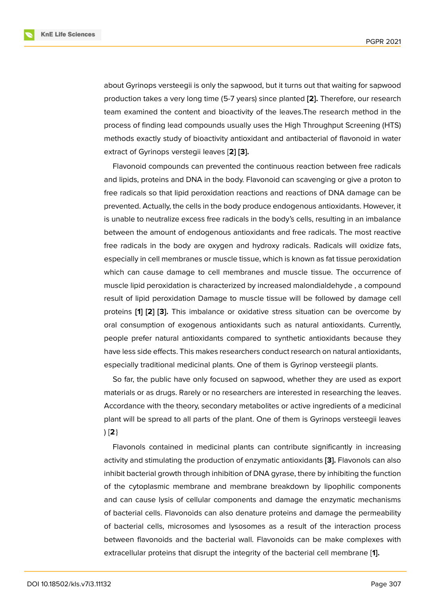about Gyrinops versteegii is only the sapwood, but it turns out that waiting for sapwood production takes a very long time (5-7 years) since planted **[2].** Therefore, our research team examined the content and bioactivity of the leaves.The research method in the process of finding lead compounds usually uses the High Throughput Screening (HTS) methods exactly study of bioactivity antioxidant and antiba[cte](#page-10-0)rial of flavonoid in water extract of Gyrinops verstegii leaves [**2] [3].**

Flavonoid compounds can prevented the continuous reaction between free radicals and lipids, proteins and DNA in the body. Flavonoid can scavenging or give a proton to free radicals so that lipid peroxidation r[ea](#page-10-1)ctions and reactions of DNA damage can be prevented. Actually, the cells in the body produce endogenous antioxidants. However, it is unable to neutralize excess free radicals in the body's cells, resulting in an imbalance between the amount of endogenous antioxidants and free radicals. The most reactive free radicals in the body are oxygen and hydroxy radicals. Radicals will oxidize fats, especially in cell membranes or muscle tissue, which is known as fat tissue peroxidation which can cause damage to cell membranes and muscle tissue. The occurrence of muscle lipid peroxidation is characterized by increased malondialdehyde , a compound result of lipid peroxidation Damage to muscle tissue will be followed by damage cell proteins **[1] [2] [3].** This imbalance or oxidative stress situation can be overcome by oral consumption of exogenous antioxidants such as natural antioxidants. Currently, people prefer natural antioxidants compared to synthetic antioxidants because they have less [s](#page-10-2)id[e](#page-10-0) e[ffe](#page-10-1)cts. This makes researchers conduct research on natural antioxidants, especially traditional medicinal plants. One of them is Gyrinop versteegii plants.

So far, the public have only focused on sapwood, whether they are used as export materials or as drugs. Rarely or no researchers are interested in researching the leaves. Accordance with the theory, secondary metabolites or active ingredients of a medicinal plant will be spread to all parts of the plant. One of them is Gyrinops versteegii leaves ) [**2**}

Flavonols contained in medicinal plants can contribute significantly in increasing activity and stimulating the production of enzymatic antioxidants **[3].** Flavonols can also inhibit bacterial growth through inhibition of DNA gyrase, there by inhibiting the function of the cytoplasmic membrane and membrane breakdown by lipophilic components and can cause lysis of cellular components and damage the e[nz](#page-10-1)ymatic mechanisms of bacterial cells. Flavonoids can also denature proteins and damage the permeability of bacterial cells, microsomes and lysosomes as a result of the interaction process between flavonoids and the bacterial wall. Flavonoids can be make complexes with extracellular proteins that disrupt the integrity of the bacterial cell membrane [**1].**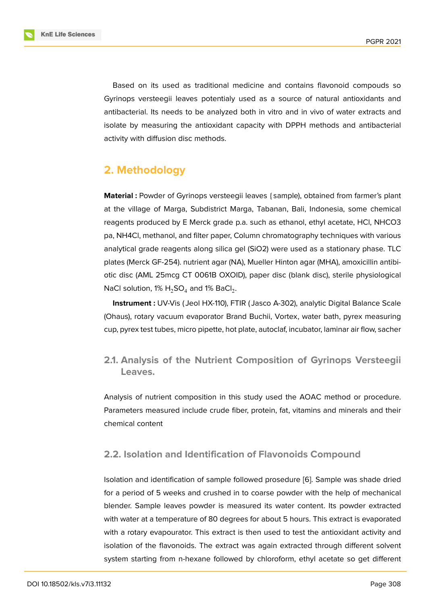Based on its used as traditional medicine and contains flavonoid compouds so Gyrinops versteegii leaves potentialy used as a source of natural antioxidants and antibacterial. Its needs to be analyzed both in vitro and in vivo of water extracts and isolate by measuring the antioxidant capacity with DPPH methods and antibacterial activity with diffusion disc methods.

# **2. Methodology**

**Material :** Powder of Gyrinops versteegii leaves {sample), obtained from farmer's plant at the village of Marga, Subdistrict Marga, Tabanan, Bali, Indonesia, some chemical reagents produced by E Merck grade p.a. such as ethanol, ethyl acetate, HCl, NHCO3 pa, NH4Cl, methanol, and filter paper, Column chromatography techniques with various analytical grade reagents along silica gel (SiO2) were used as a stationary phase. TLC plates (Merck GF-254). nutrient agar (NA), Mueller Hinton agar (MHA), amoxicillin antibiotic disc (AML 25mcg CT 0061B OXOID), paper disc (blank disc), sterile physiological NaCl solution, 1%  $\mathsf{H}_2$ SO $_4$  and 1% BaCl $_2$ .

**Instrument :** UV-Vis ( Jeol HX-110), FTIR ( Jasco A-302), analytic Digital Balance Scale (Ohaus), rotary vacuum evaporator Brand Buchii, Vortex, water bath, pyrex measuring cup, pyrex test tubes, micro pipette, hot plate, autoclaf, incubator, laminar air flow, sacher

**2.1. Analysis of the Nutrient Composition of Gyrinops Versteegii Leaves.**

Analysis of nutrient composition in this study used the AOAC method or procedure. Parameters measured include crude fiber, protein, fat, vitamins and minerals and their chemical content

#### **2.2. Isolation and Identification of Flavonoids Compound**

Isolation and identification of sample followed prosedure [6]. Sample was shade dried for a period of 5 weeks and crushed in to coarse powder with the help of mechanical blender. Sample leaves powder is measured its water content. Its powder extracted with water at a temperature of 80 degrees for about 5 hou[rs.](#page-11-0) This extract is evaporated with a rotary evapourator. This extract is then used to test the antioxidant activity and isolation of the flavonoids. The extract was again extracted through different solvent system starting from n-hexane followed by chloroform, ethyl acetate so get different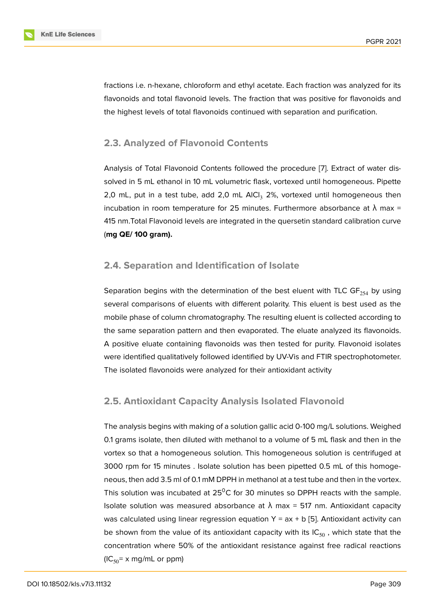fractions i.e. n-hexane, chloroform and ethyl acetate. Each fraction was analyzed for its flavonoids and total flavonoid levels. The fraction that was positive for flavonoids and the highest levels of total flavonoids continued with separation and purification.

### **2.3. Analyzed of Flavonoid Contents**

Analysis of Total Flavonoid Contents followed the procedure [7]. Extract of water dissolved in 5 mL ethanol in 10 mL volumetric flask, vortexed until homogeneous. Pipette 2,0 mL, put in a test tube, add 2,0 mL AlCl<sub>3</sub> 2%, vortexed until homogeneous then incubation in room temperature for 25 minutes. Furthermore [ab](#page-11-1)sorbance at  $\lambda$  max = 415 nm.Total Flavonoid levels are integrated in the quersetin standard calibration curve (**mg QE/ 100 gram).**

#### **2.4. Separation and Identification of Isolate**

Separation begins with the determination of the best eluent with TLC GF $_{254}$  by using several comparisons of eluents with different polarity. This eluent is best used as the mobile phase of column chromatography. The resulting eluent is collected according to the same separation pattern and then evaporated. The eluate analyzed its flavonoids. A positive eluate containing flavonoids was then tested for purity. Flavonoid isolates were identified qualitatively followed identified by UV-Vis and FTIR spectrophotometer. The isolated flavonoids were analyzed for their antioxidant activity

### **2.5. Antioxidant Capacity Analysis Isolated Flavonoid**

The analysis begins with making of a solution gallic acid 0-100 mg/L solutions. Weighed 0.1 grams isolate, then diluted with methanol to a volume of 5 mL flask and then in the vortex so that a homogeneous solution. This homogeneous solution is centrifuged at 3000 rpm for 15 minutes . Isolate solution has been pipetted 0.5 mL of this homogeneous, then add 3.5 ml of 0.1 mM DPPH in methanol at a test tube and then in the vortex. This solution was incubated at  $25^0C$  for 30 minutes so DPPH reacts with the sample. Isolate solution was measured absorbance at  $\lambda$  max = 517 nm. Antioxidant capacity was calculated using linear regression equation  $Y = ax + b$  [5]. Antioxidant activity can be shown from the value of its antioxidant capacity with its  $IC_{50}$ , which state that the concentration where 50% of the antioxidant resistance against free radical reactions  $(IC_{50}$  x mg/mL or ppm)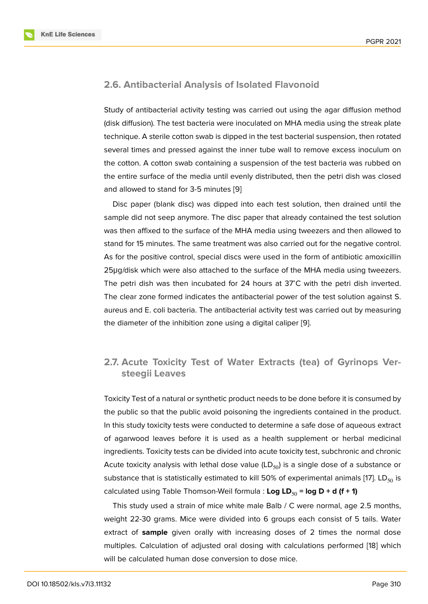#### **2.6. Antibacterial Analysis of Isolated Flavonoid**

Study of antibacterial activity testing was carried out using the agar diffusion method (disk diffusion). The test bacteria were inoculated on MHA media using the streak plate technique. A sterile cotton swab is dipped in the test bacterial suspension, then rotated several times and pressed against the inner tube wall to remove excess inoculum on the cotton. A cotton swab containing a suspension of the test bacteria was rubbed on the entire surface of the media until evenly distributed, then the petri dish was closed and allowed to stand for 3-5 minutes [9]

Disc paper (blank disc) was dipped into each test solution, then drained until the sample did not seep anymore. The disc paper that already contained the test solution was then affixed to the surface of the [M](#page-11-2)HA media using tweezers and then allowed to stand for 15 minutes. The same treatment was also carried out for the negative control. As for the positive control, special discs were used in the form of antibiotic amoxicillin 25μg/disk which were also attached to the surface of the MHA media using tweezers. The petri dish was then incubated for 24 hours at 37<sup>∘</sup>C with the petri dish inverted. The clear zone formed indicates the antibacterial power of the test solution against S. aureus and E. coli bacteria. The antibacterial activity test was carried out by measuring the diameter of the inhibition zone using a digital caliper [9].

### **2.7. Acute Toxicity Test of Water Extracts([te](#page-11-2)a) of Gyrinops Versteegii Leaves**

Toxicity Test of a natural or synthetic product needs to be done before it is consumed by the public so that the public avoid poisoning the ingredients contained in the product. In this study toxicity tests were conducted to determine a safe dose of aqueous extract of agarwood leaves before it is used as a health supplement or herbal medicinal ingredients. Toxicity tests can be divided into acute toxicity test, subchronic and chronic Acute toxicity analysis with lethal dose value  $(LD_{50})$  is a single dose of a substance or substance that is statistically estimated to kill 50% of experimental animals [17]. LD $_{50}$  is calculated using Table Thomson-Weil formula : Log LD<sub>50</sub> = log D + d (f + 1)

This study used a strain of mice white male Balb / C were normal, age 2.5 months, weight 22-30 grams. Mice were divided into 6 groups each consist of 5 t[ail](#page-11-3)s. Water extract of **sample** given orally with increasing doses of 2 times the normal dose multiples. Calculation of adjusted oral dosing with calculations performed [18] which will be calculated human dose conversion to dose mice.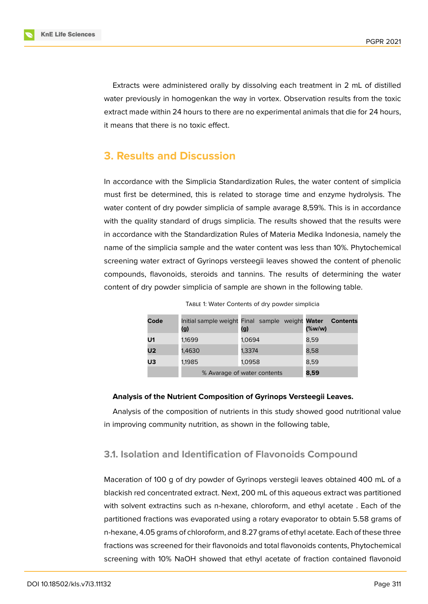Extracts were administered orally by dissolving each treatment in 2 mL of distilled water previously in homogenkan the way in vortex. Observation results from the toxic extract made within 24 hours to there are no experimental animals that die for 24 hours, it means that there is no toxic effect.

## **3. Results and Discussion**

In accordance with the Simplicia Standardization Rules, the water content of simplicia must first be determined, this is related to storage time and enzyme hydrolysis. The water content of dry powder simplicia of sample avarage 8,59%. This is in accordance with the quality standard of drugs simplicia. The results showed that the results were in accordance with the Standardization Rules of Materia Medika Indonesia, namely the name of the simplicia sample and the water content was less than 10%. Phytochemical screening water extract of Gyrinops versteegii leaves showed the content of phenolic compounds, flavonoids, steroids and tannins. The results of determining the water content of dry powder simplicia of sample are shown in the following table.

| Code           | (g)                         | Initial sample weight Final sample weight Water<br>(g) | <b>Contents</b><br>$(\%w/w)$ |
|----------------|-----------------------------|--------------------------------------------------------|------------------------------|
| U1             | 1,1699                      | 1,0694                                                 | 8.59                         |
| U <sub>2</sub> | 1,4630                      | 1.3374                                                 | 8,58                         |
| U3             | 1,1985                      | 1,0958                                                 | 8.59                         |
|                | % Avarage of water contents | 8,59                                                   |                              |

Table 1: Water Contents of dry powder simplicia

#### **Analysis of the Nutrient Composition of Gyrinops Versteegii Leaves.**

Analysis of the composition of nutrients in this study showed good nutritional value in improving community nutrition, as shown in the following table,

#### **3.1. Isolation and Identification of Flavonoids Compound**

Maceration of 100 g of dry powder of Gyrinops verstegii leaves obtained 400 mL of a blackish red concentrated extract. Next, 200 mL of this aqueous extract was partitioned with solvent extractins such as n-hexane, chloroform, and ethyl acetate . Each of the partitioned fractions was evaporated using a rotary evaporator to obtain 5.58 grams of n-hexane, 4.05 grams of chloroform, and 8.27 grams of ethyl acetate. Each of these three fractions was screened for their flavonoids and total flavonoids contents, Phytochemical screening with 10% NaOH showed that ethyl acetate of fraction contained flavonoid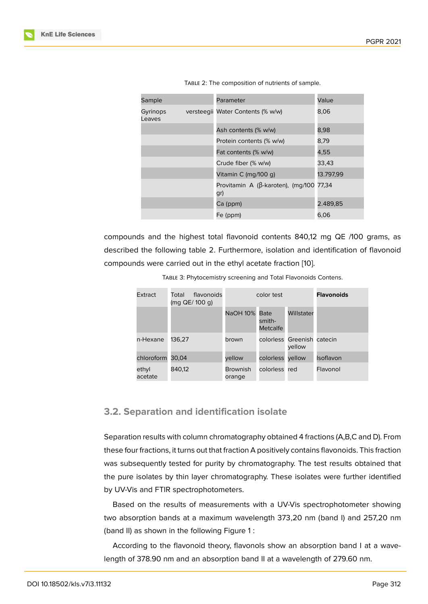| Sample             | Parameter                                              | Value     |
|--------------------|--------------------------------------------------------|-----------|
| Gyrinops<br>Leaves | versteegii Water Contents (% w/w)                      | 8,06      |
|                    | Ash contents (% w/w)                                   | 8,98      |
|                    | Protein contents (% w/w)                               | 8,79      |
|                    | Fat contents (% w/w)                                   | 4,55      |
|                    | Crude fiber (% w/w)                                    | 33,43     |
|                    | Vitamin C (mg/100 g)                                   | 13.797,99 |
|                    | Provitamin A ( $\beta$ -karoten), (mg/100 77,34<br>gr) |           |
|                    | Ca (ppm)                                               | 2.489.85  |
|                    | Fe (ppm)                                               | 6,06      |

| TABLE 2: The composition of nutrients of sample. |  |
|--------------------------------------------------|--|
|                                                  |  |

compounds and the highest total flavonoid contents 840,12 mg QE /100 grams, as described the following table 2. Furthermore, isolation and identification of flavonoid compounds were carried out in the ethyl acetate fraction [10].

| Extract          | flavonoids<br>Total<br>(mg QE/ 100 g) | color test                |                                   |                                      | <b>Flavonoids</b> |
|------------------|---------------------------------------|---------------------------|-----------------------------------|--------------------------------------|-------------------|
|                  |                                       | <b>NaOH 10%</b>           | <b>Bate</b><br>smith-<br>Metcalfe | Willstater                           |                   |
| n-Hexane         | 136.27                                | brown                     |                                   | colorless Greenish catecin<br>vellow |                   |
| chloroform       | 30,04                                 | vellow                    | colorless                         | vellow                               | <b>Isoflavon</b>  |
| ethyl<br>acetate | 840.12                                | <b>Brownish</b><br>orange | colorless red                     |                                      | Flavonol          |

Table 3: Phytocemistry screening and Total Flavonoids Contens.

### **3.2. Separation and identification isolate**

Separation results with column chromatography obtained 4 fractions (A,B,C and D). From these four fractions, it turns out that fraction A positively contains flavonoids. This fraction was subsequently tested for purity by chromatography. The test results obtained that the pure isolates by thin layer chromatography. These isolates were further identified by UV-Vis and FTIR spectrophotometers.

Based on the results of measurements with a UV-Vis spectrophotometer showing two absorption bands at a maximum wavelength 373,20 nm (band I) and 257,20 nm (band II) as shown in the following Figure 1 :

According to the flavonoid theory, flavonols show an absorption band I at a wavelength of 378.90 nm and an absorption b[an](#page-7-0)d II at a wavelength of 279.60 nm.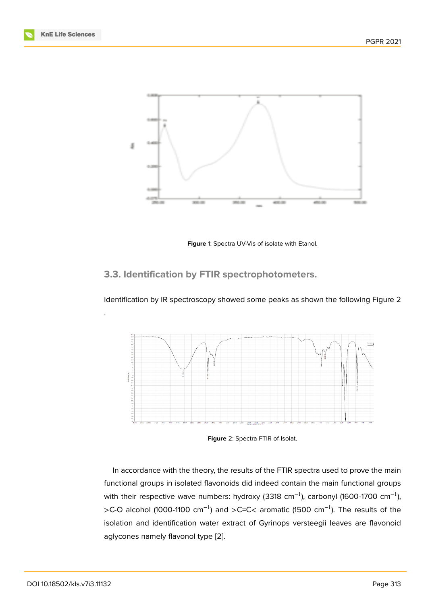

<span id="page-7-0"></span>**Figure** 1: Spectra UV-Vis of isolate with Etanol.

# **3.3. Identification by FTIR spectrophotometers.**

Identification by IR spectroscopy showed some peaks as shown the following Figure 2



**Figure** 2: Spectra FTIR of Isolat.

In accordance with the theory, the results of the FTIR spectra used to prove the main functional groups in isolated flavonoids did indeed contain the main functional groups with their respective wave numbers: hydroxy (3318 cm<sup>-1</sup>), carbonyl (1600-1700 cm<sup>-1</sup>), >C-O alcohol (1000-1100 cm<sup>-1</sup>) and >C=C< aromatic (1500 cm<sup>-1</sup>). The results of the isolation and identification water extract of Gyrinops versteegii leaves are flavonoid aglycones namely flavonol type [2].

.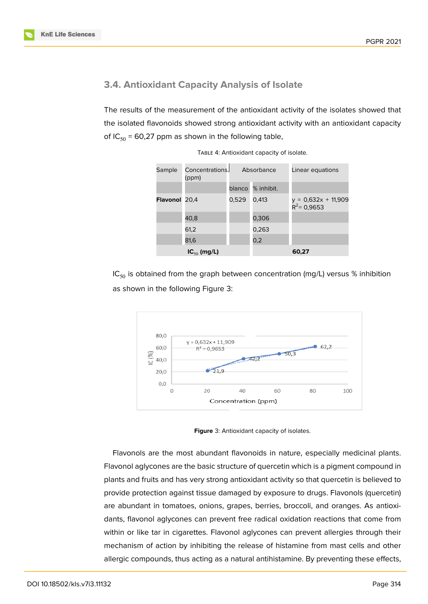#### **3.4. Antioxidant Capacity Analysis of Isolate**

The results of the measurement of the antioxidant activity of the isolates showed that the isolated flavonoids showed strong antioxidant activity with an antioxidant capacity of  $IC_{50}$  = 60,27 ppm as shown in the following table,

| Sample               | Concentrations.<br>(ppm) |        | Absorbance | Linear equations                        |
|----------------------|--------------------------|--------|------------|-----------------------------------------|
|                      |                          | blanco | % inhibit. |                                         |
| <b>Flavonol</b> 20,4 |                          | 0,529  | 0,413      | $y = 0,632x + 11,909$<br>$R^2$ = 0,9653 |
|                      | 40,8                     |        | 0,306      |                                         |
|                      | 61,2                     |        | 0,263      |                                         |
|                      | 81,6                     |        | 0,2        |                                         |
|                      | $IC_{50}$ (mg/L)         |        |            | 60,27                                   |

TABLE 4: Antioxidant capacity of isolate.

IC<sub>50</sub> is obtained from the graph between concentration (mg/L) versus % inhibition as shown in the following Figure 3:



**Figure** 3: Antioxidant capacity of isolates.

Flavonols are the most abundant flavonoids in nature, especially medicinal plants. Flavonol aglycones are the basic structure of quercetin which is a pigment compound in plants and fruits and has very strong antioxidant activity so that quercetin is believed to provide protection against tissue damaged by exposure to drugs. Flavonols (quercetin) are abundant in tomatoes, onions, grapes, berries, broccoli, and oranges. As antioxidants, flavonol aglycones can prevent free radical oxidation reactions that come from within or like tar in cigarettes. Flavonol aglycones can prevent allergies through their mechanism of action by inhibiting the release of histamine from mast cells and other allergic compounds, thus acting as a natural antihistamine. By preventing these effects,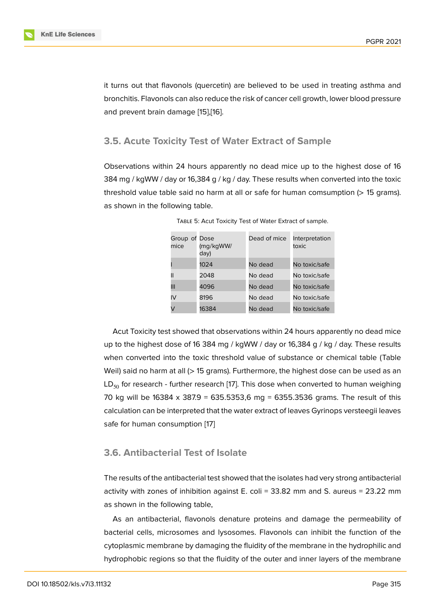it turns out that flavonols (quercetin) are believed to be used in treating asthma and bronchitis. Flavonols can also reduce the risk of cancer cell growth, lower blood pressure and prevent brain damage [15],[16].

#### **3.5. Acute Toxicity T[est](#page-11-4) [of](#page-11-5) Water Extract of Sample**

Observations within 24 hours apparently no dead mice up to the highest dose of 16 384 mg / kgWW / day or 16,384 g / kg / day. These results when converted into the toxic threshold value table said no harm at all or safe for human comsumption (> 15 grams). as shown in the following table.

| Group of Dose<br>mice | (mg/kgWW/<br>day) | Dead of mice | Interpretation<br>toxic |
|-----------------------|-------------------|--------------|-------------------------|
|                       | 1024              | No dead      | No toxic/safe           |
| Ш                     | 2048              | No dead      | No toxic/safe           |
| Ш                     | 4096              | No dead      | No toxic/safe           |
| IV                    | 8196              | No dead      | No toxic/safe           |
| V                     | 16384             | No dead      | No toxic/safe           |

TABLE 5: Acut Toxicity Test of Water Extract of sample.

Acut Toxicity test showed that observations within 24 hours apparently no dead mice up to the highest dose of 16 384 mg / kgWW / day or 16,384 g / kg / day. These results when converted into the toxic threshold value of substance or chemical table (Table Weil) said no harm at all (> 15 grams). Furthermore, the highest dose can be used as an  $LD_{50}$  for research - further research [17]. This dose when converted to human weighing 70 kg will be  $16384 \times 387.9 = 635.5353.6$  mg = 6355.3536 grams. The result of this calculation can be interpreted that the water extract of leaves Gyrinops versteegii leaves safe for human consumption [17]

### **3.6. Antibacterial Test [of](#page-11-3) Isolate**

The results of the antibacterial test showed that the isolates had very strong antibacterial activity with zones of inhibition against E. coli = 33.82 mm and S. aureus = 23.22 mm as shown in the following table,

As an antibacterial, flavonols denature proteins and damage the permeability of bacterial cells, microsomes and lysosomes. Flavonols can inhibit the function of the cytoplasmic membrane by damaging the fluidity of the membrane in the hydrophilic and hydrophobic regions so that the fluidity of the outer and inner layers of the membrane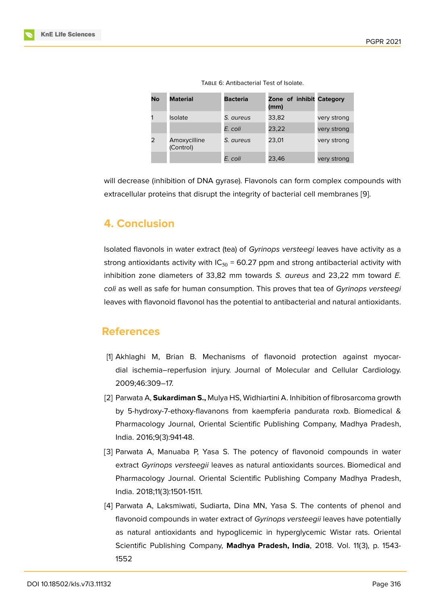| No | <b>Material</b>           | <b>Bacteria</b> | Zone of inhibit Category<br>(mm) |             |
|----|---------------------------|-----------------|----------------------------------|-------------|
|    | <b>Isolate</b>            | S. aureus       | 33,82                            | very strong |
|    |                           | E. coli         | 23,22                            | very strong |
|    | Amoxycilline<br>(Control) | S. aureus       | 23.01                            | very strong |
|    |                           | E. coli         | 23,46                            | very strong |

Table 6: Antibacterial Test of Isolate.

will decrease (inhibition of DNA gyrase). Flavonols can form complex compounds with extracellular proteins that disrupt the integrity of bacterial cell membranes [9].

# **4. Conclusion**

Isolated flavonols in water extract (tea) of *Gyrinops versteegi* leaves have activity as a strong antioxidants activity with  $IC_{50}$  = 60.27 ppm and strong antibacterial activity with inhibition zone diameters of 33,82 mm towards *S. aureus* and 23,22 mm toward *E. coli* as well as safe for human consumption. This proves that tea of *Gyrinops versteegi* leaves with flavonoid flavonol has the potential to antibacterial and natural antioxidants.

# **References**

- [1] Akhlaghi M, Brian B. Mechanisms of flavonoid protection against myocardial ischemia–reperfusion injury. Journal of Molecular and Cellular Cardiology. 2009;46:309–17.
- <span id="page-10-2"></span>[2] Parwata A, **Sukardiman S.,** Mulya HS, Widhiartini A. Inhibition of fibrosarcoma growth by 5-hydroxy-7-ethoxy-flavanons from kaempferia pandurata roxb. Biomedical & Pharmacology Journal, Oriental Scientific Publishing Company, Madhya Pradesh, India. 2016;9(3):941-48.
- <span id="page-10-0"></span>[3] Parwata A, Manuaba P, Yasa S. The potency of flavonoid compounds in water extract *Gyrinops versteegii* leaves as natural antioxidants sources. Biomedical and Pharmacology Journal. Oriental Scientific Publishing Company Madhya Pradesh, India. 2018;11(3):1501-1511.
- <span id="page-10-1"></span>[4] Parwata A, Laksmiwati, Sudiarta, Dina MN, Yasa S. The contents of phenol and flavonoid compounds in water extract of *Gyrinops versteegii* leaves have potentially as natural antioxidants and hypoglicemic in hyperglycemic Wistar rats. Oriental Scientific Publishing Company, **Madhya Pradesh, India**, 2018. Vol. 11(3), p. 1543- 1552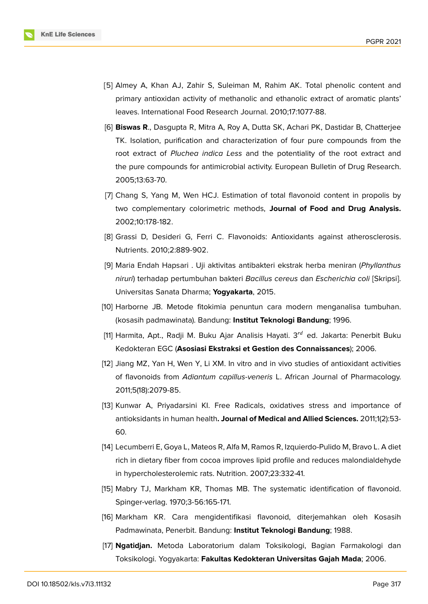

- [5] Almey A, Khan AJ, Zahir S, Suleiman M, Rahim AK. Total phenolic content and primary antioxidan activity of methanolic and ethanolic extract of aromatic plants' leaves. International Food Research Journal. 2010;17:1077-88.
- <span id="page-11-0"></span>[6] **Biswas R**., Dasgupta R, Mitra A, Roy A, Dutta SK, Achari PK, Dastidar B, Chatterjee TK. Isolation, purification and characterization of four pure compounds from the root extract of *Pluchea indica Less* and the potentiality of the root extract and the pure compounds for antimicrobial activity. European Bulletin of Drug Research. 2005;13:63-70.
- <span id="page-11-1"></span>[7] Chang S, Yang M, Wen HCJ. Estimation of total flavonoid content in propolis by two complementary colorimetric methods, **Journal of Food and Drug Analysis.** 2002;10:178-182.
- [8] Grassi D, Desideri G, Ferri C. Flavonoids: Antioxidants against atherosclerosis. Nutrients. 2010;2:889-902.
- <span id="page-11-2"></span>[9] Maria Endah Hapsari . Uji aktivitas antibakteri ekstrak herba meniran (*Phyllanthus niruri*) terhadap pertumbuhan bakteri *Bacillus cereus* dan *Escherichia coli* [Skripsi]. Universitas Sanata Dharma; **Yogyakarta**, 2015.
- [10] Harborne JB. Metode fitokimia penuntun cara modern menganalisa tumbuhan. (kosasih padmawinata). Bandung: **Institut Teknologi Bandung**; 1996.
- [11] Harmita, Apt., Radji M. Buku Ajar Analisis Hayati.  $3^{rd}$  ed. Jakarta: Penerbit Buku Kedokteran EGC (**Asosiasi Ekstraksi et Gestion des Connaissances**); 2006.
- [12] Jiang MZ, Yan H, Wen Y, Li XM. In vitro and in vivo studies of antioxidant activities of flavonoids from *Adiantum capillus*-*veneris* L. African Journal of Pharmacology. 2011;5(18):2079-85.
- [13] Kunwar A, Priyadarsini KI. Free Radicals, oxidatives stress and importance of antioksidants in human health**. Journal of Medical and Allied Sciences.** 2011;1(2):53- 60.
- [14] Lecumberri E, Goya L, Mateos R, Alfa M, Ramos R, Izquierdo-Pulido M, Bravo L. A diet rich in dietary fiber from cocoa improves lipid profile and reduces malondialdehyde in hypercholesterolemic rats. Nutrition. 2007;23:332-41.
- <span id="page-11-4"></span>[15] Mabry TJ, Markham KR, Thomas MB. The systematic identification of flavonoid. Spinger-verlag. 1970;3-56:165-171.
- <span id="page-11-5"></span>[16] Markham KR. Cara mengidentifikasi flavonoid, diterjemahkan oleh Kosasih Padmawinata, Penerbit. Bandung: **Institut Teknologi Bandung**; 1988.
- <span id="page-11-3"></span>[17] **Ngatidjan.** Metoda Laboratorium dalam Toksikologi, Bagian Farmakologi dan Toksikologi. Yogyakarta: **Fakultas Kedokteran Universitas Gajah Mada**; 2006.